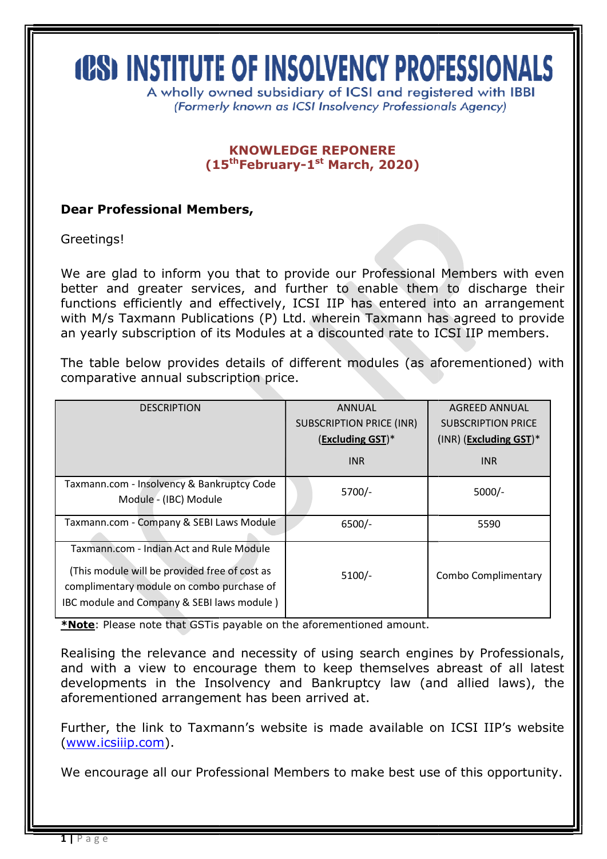# **(PS) INSTITUTE OF INSOLVENCY PROFESSIONALS**

A wholly owned subsidiary of ICSI and registered with IBBI (Formerly known as ICSI Insolvency Professionals Agency)

## (15<sup>th</sup>February-1<sup>st</sup> March, 2020) KNOWLEDGE REPONERE

## Dear Professional Members,

Greetings!

We are glad to inform you that to provide our Professional Members with even better and greater services, and further to enable them to discharge their functions efficiently and effectively, ICSI IIP has entered into an arrangement with M/s Taxmann Publications (P) Ltd. wherein Taxmann has agreed to p provide an yearly subscription of its Modules at a discounted rate to ICSI IIP members. better and greater services, and further to enable them to discharge their functions efficiently and effectively, ICSI IIP has entered into an arrangement with M/s Taxmann Publications (P) Ltd. wherein Taxmann has agreed t

The table below provides details of different modules (as aforementioned) with comparative annual subscription price.

| <b>DESCRIPTION</b>                                                                                                                                                                   | <b>ANNUAL</b>                   | <b>AGREED ANNUAL</b>      |
|--------------------------------------------------------------------------------------------------------------------------------------------------------------------------------------|---------------------------------|---------------------------|
|                                                                                                                                                                                      | <b>SUBSCRIPTION PRICE (INR)</b> | <b>SUBSCRIPTION PRICE</b> |
|                                                                                                                                                                                      | (Excluding GST)*                | $(INR)$ (Excluding GST)*  |
|                                                                                                                                                                                      | <b>INR</b>                      | <b>INR</b>                |
| Taxmann.com - Insolvency & Bankruptcy Code<br>Module - (IBC) Module                                                                                                                  | $5700/-$                        | $5000/-$                  |
| Taxmann.com - Company & SEBI Laws Module                                                                                                                                             | $6500/-$                        | 5590                      |
| Taxmann.com - Indian Act and Rule Module<br>(This module will be provided free of cost as<br>complimentary module on combo purchase of<br>IBC module and Company & SEBI laws module) | $5100/-$                        | Combo Complimentary       |

\*Note: Please note that GSTis payable on the aforementioned amount.

Realising the relevance and necessity of using search engines by Professionals, and with a view to encourage them to keep themselves abreast of all latest developments in the Insolvency and Bankruptcy law (and allied laws) and with a view to encourage them to keep themselves abreast of all latest developments in the Insolvency and Bankruptcy law (and allied laws), the aforementioned arrangement has been arrived at.

Further, the link to Taxmann's website is made available on ICSI IIP's website (www.icsiiip.com). Further, the link to Taxmann's website is made available on ICSI IIP's website<br>(www.icsiiip.com).<br>We encourage all our Professional Members to make best use of this opportunity.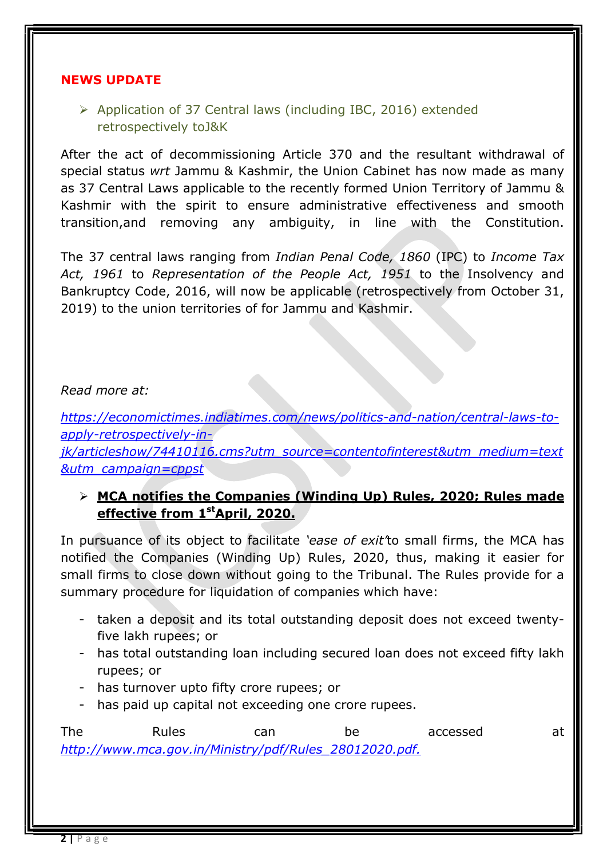### NEWS UPDATE

 Application of 37 Central laws (including IBC, 2016) extended retrospectively toJ&K

After the act of decommissioning Article 370 and the resultant withdrawal of special status wrt Jammu & Kashmir, the Union Cabinet has now made as many as 37 Central Laws applicable to the recently formed Union Territory of Jammu & Kashmir with the spirit to ensure administrative effectiveness and smooth transition,and removing any ambiguity, in line with the Constitution.

The 37 central laws ranging from Indian Penal Code, 1860 (IPC) to Income Tax Act, 1961 to Representation of the People Act, 1951 to the Insolvency and Bankruptcy Code, 2016, will now be applicable (retrospectively from October 31, 2019) to the union territories of for Jammu and Kashmir.

## Read more at:

https://economictimes.indiatimes.com/news/politics-and-nation/central-laws-toapply-retrospectively-injk/articleshow/74410116.cms?utm\_source=contentofinterest&utm\_medium=text &utm\_campaign=cppst

## > MCA notifies the Companies (Winding Up) Rules, 2020; Rules made effective from 1<sup>st</sup>April, 2020.

In pursuance of its object to facilitate 'ease of exit' to small firms, the MCA has notified the Companies (Winding Up) Rules, 2020, thus, making it easier for small firms to close down without going to the Tribunal. The Rules provide for a summary procedure for liquidation of companies which have:

- taken a deposit and its total outstanding deposit does not exceed twentyfive lakh rupees; or
- has total outstanding loan including secured loan does not exceed fifty lakh rupees; or
- has turnover upto fifty crore rupees; or
- has paid up capital not exceeding one crore rupees.

The Rules can be accessed at http://www.mca.gov.in/Ministry/pdf/Rules\_28012020.pdf.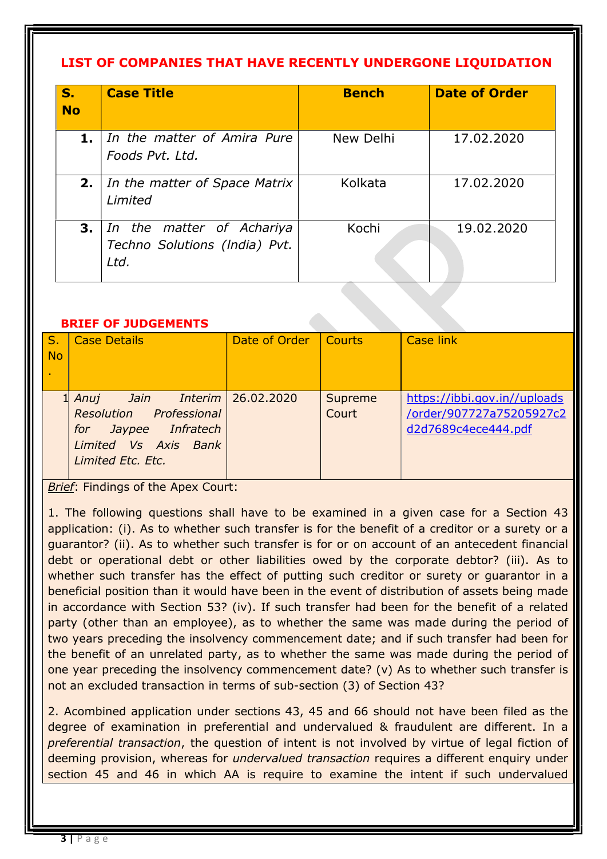# LIST OF COMPANIES THAT HAVE RECENTLY UNDERGONE LIQUIDATION

| S.<br><b>No</b> | <b>Case Title</b>                                                  | <b>Bench</b> | <b>Date of Order</b> |
|-----------------|--------------------------------------------------------------------|--------------|----------------------|
| 1.              | In the matter of Amira Pure<br>Foods Pvt. Ltd.                     | New Delhi    | 17.02.2020           |
| 2.              | In the matter of Space Matrix<br>Limited                           | Kolkata      | 17.02.2020           |
| 3.              | In the matter of Achariya<br>Techno Solutions (India) Pvt.<br>Ltd. | Kochi        | 19.02.2020           |

### BRIEF OF JUDGEMENTS

| $\mathsf{S}$ . | <b>Case Details</b>                               | Date of Order | Courts           | <b>Case link</b>                                         |
|----------------|---------------------------------------------------|---------------|------------------|----------------------------------------------------------|
| <b>No</b>      |                                                   |               |                  |                                                          |
|                |                                                   |               |                  |                                                          |
|                | Jain Interim<br>1 Anui<br>Resolution Professional | 26.02.2020    | Supreme<br>Court | https://ibbi.gov.in//uploads<br>/order/907727a75205927c2 |
|                | <i>Infratech</i><br>Jaypee<br>for                 |               |                  | d2d7689c4ece444.pdf                                      |
|                | Limited Vs Axis Bank                              |               |                  |                                                          |
|                | Limited Etc. Etc.                                 |               |                  |                                                          |

Brief: Findings of the Apex Court:

1. The following questions shall have to be examined in a given case for a Section 43 application: (i). As to whether such transfer is for the benefit of a creditor or a surety or a guarantor? (ii). As to whether such transfer is for or on account of an antecedent financial debt or operational debt or other liabilities owed by the corporate debtor? (iii). As to whether such transfer has the effect of putting such creditor or surety or guarantor in a beneficial position than it would have been in the event of distribution of assets being made in accordance with Section 53? (iv). If such transfer had been for the benefit of a related party (other than an employee), as to whether the same was made during the period of two years preceding the insolvency commencement date; and if such transfer had been for the benefit of an unrelated party, as to whether the same was made during the period of one year preceding the insolvency commencement date? (v) As to whether such transfer is not an excluded transaction in terms of sub-section (3) of Section 43?

2. Acombined application under sections 43, 45 and 66 should not have been filed as the degree of examination in preferential and undervalued & fraudulent are different. In a preferential transaction, the question of intent is not involved by virtue of legal fiction of deeming provision, whereas for undervalued transaction requires a different enquiry under section 45 and 46 in which AA is require to examine the intent if such undervalued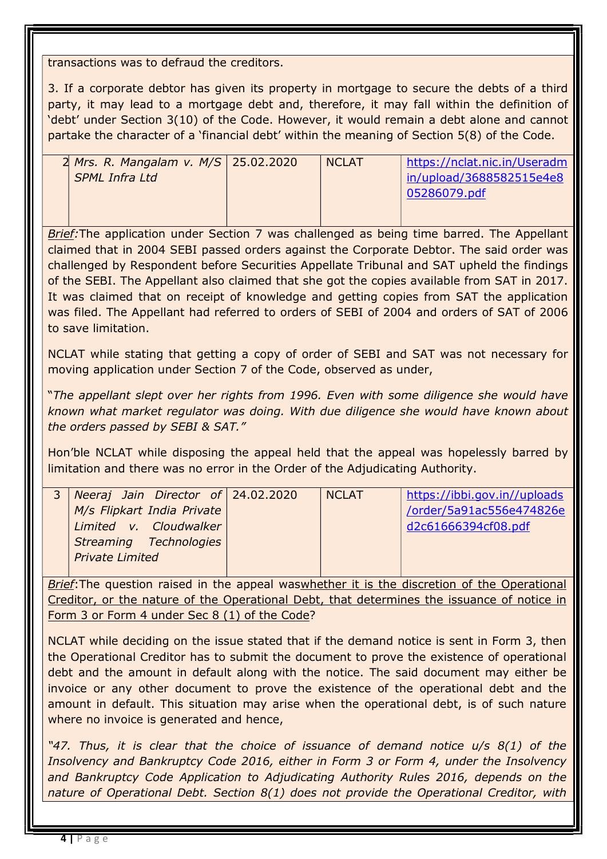transactions was to defraud the creditors.

3. If a corporate debtor has given its property in mortgage to secure the debts of a third party, it may lead to a mortgage debt and, therefore, it may fall within the definition of 'debt' under Section 3(10) of the Code. However, it would remain a debt alone and cannot partake the character of a 'financial debt' within the meaning of Section 5(8) of the Code.

| 2 Mrs. R. Mangalam v. M/S 25.02.2020 | <b>NCLAT</b> | https://nclat.nic.in/Useradm |
|--------------------------------------|--------------|------------------------------|
| <b>SPML Infra Ltd</b>                |              | in/upload/3688582515e4e8     |
|                                      |              | 05286079.pdf                 |
|                                      |              |                              |

Brief: The application under Section 7 was challenged as being time barred. The Appellant claimed that in 2004 SEBI passed orders against the Corporate Debtor. The said order was challenged by Respondent before Securities Appellate Tribunal and SAT upheld the findings of the SEBI. The Appellant also claimed that she got the copies available from SAT in 2017. It was claimed that on receipt of knowledge and getting copies from SAT the application was filed. The Appellant had referred to orders of SEBI of 2004 and orders of SAT of 2006 to save limitation.

NCLAT while stating that getting a copy of order of SEBI and SAT was not necessary for moving application under Section 7 of the Code, observed as under,

"The appellant slept over her rights from 1996. Even with some diligence she would have known what market regulator was doing. With due diligence she would have known about the orders passed by SEBI & SAT."

Hon'ble NCLAT while disposing the appeal held that the appeal was hopelessly barred by limitation and there was no error in the Order of the Adjudicating Authority.

| $3$ Neeraj Jain Director of 24.02.2020 | <b>NCLAT</b> | https://ibbi.gov.in//uploads |
|----------------------------------------|--------------|------------------------------|
| M/s Flipkart India Private             |              | /order/5a91ac556e474826e     |
| Limited v. Cloudwalker                 |              | d2c61666394cf08.pdf          |
| Streaming Technologies                 |              |                              |
| <b>Private Limited</b>                 |              |                              |
|                                        |              |                              |

Brief: The question raised in the appeal waswhether it is the discretion of the Operational Creditor, or the nature of the Operational Debt, that determines the issuance of notice in Form 3 or Form 4 under Sec 8 (1) of the Code?

NCLAT while deciding on the issue stated that if the demand notice is sent in Form 3, then the Operational Creditor has to submit the document to prove the existence of operational debt and the amount in default along with the notice. The said document may either be invoice or any other document to prove the existence of the operational debt and the amount in default. This situation may arise when the operational debt, is of such nature where no invoice is generated and hence,

"47. Thus, it is clear that the choice of issuance of demand notice u/s 8(1) of the Insolvency and Bankruptcy Code 2016, either in Form 3 or Form 4, under the Insolvency and Bankruptcy Code Application to Adjudicating Authority Rules 2016, depends on the nature of Operational Debt. Section 8(1) does not provide the Operational Creditor, with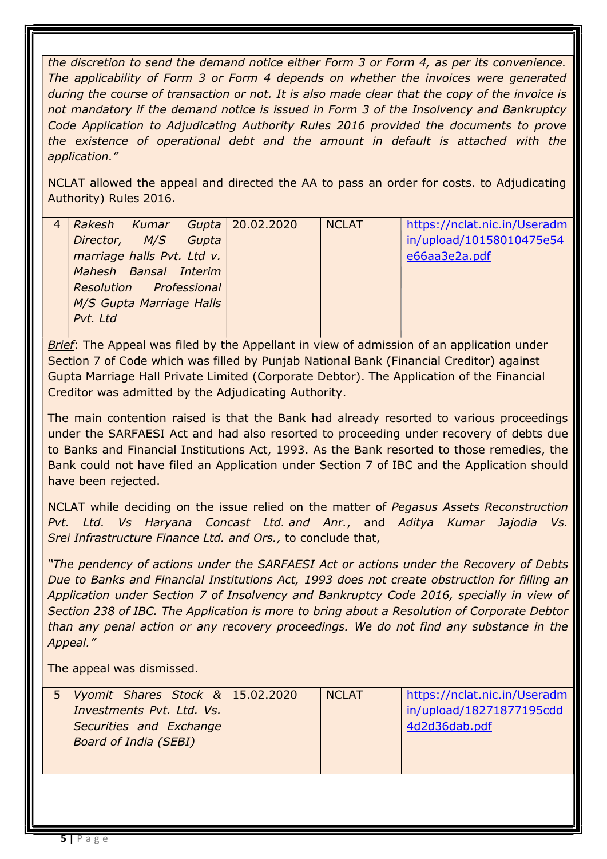the discretion to send the demand notice either Form 3 or Form 4, as per its convenience. The applicability of Form 3 or Form 4 depends on whether the invoices were generated during the course of transaction or not. It is also made clear that the copy of the invoice is not mandatory if the demand notice is issued in Form 3 of the Insolvency and Bankruptcy Code Application to Adjudicating Authority Rules 2016 provided the documents to prove the existence of operational debt and the amount in default is attached with the application."

NCLAT allowed the appeal and directed the AA to pass an order for costs. to Adjudicating Authority) Rules 2016.

|                            |  | Rakesh Kumar Gupta 20.02.2020 | <b>NCLAT</b> | https://nclat.nic.in/Useradm |
|----------------------------|--|-------------------------------|--------------|------------------------------|
| Director, M/S Gupta        |  |                               |              | in/upload/10158010475e54     |
| marriage halls Pvt. Ltd v. |  |                               |              | e66aa3e2a.pdf                |
| Mahesh Bansal Interim      |  |                               |              |                              |
| Resolution Professional    |  |                               |              |                              |
| M/S Gupta Marriage Halls   |  |                               |              |                              |
| Pvt. Ltd                   |  |                               |              |                              |
|                            |  |                               |              |                              |

Brief: The Appeal was filed by the Appellant in view of admission of an application under Section 7 of Code which was filled by Punjab National Bank (Financial Creditor) against Gupta Marriage Hall Private Limited (Corporate Debtor). The Application of the Financial Creditor was admitted by the Adjudicating Authority.

The main contention raised is that the Bank had already resorted to various proceedings under the SARFAESI Act and had also resorted to proceeding under recovery of debts due to Banks and Financial Institutions Act, 1993. As the Bank resorted to those remedies, the Bank could not have filed an Application under Section 7 of IBC and the Application should have been rejected.

NCLAT while deciding on the issue relied on the matter of Pegasus Assets Reconstruction Pvt. Ltd. Vs Haryana Concast Ltd. and Anr., and Aditya Kumar Jajodia Vs. Srei Infrastructure Finance Ltd. and Ors., to conclude that,

"The pendency of actions under the SARFAESI Act or actions under the Recovery of Debts Due to Banks and Financial Institutions Act, 1993 does not create obstruction for filling an Application under Section 7 of Insolvency and Bankruptcy Code 2016, specially in view of Section 238 of IBC. The Application is more to bring about a Resolution of Corporate Debtor than any penal action or any recovery proceedings. We do not find any substance in the Appeal."

The appeal was dismissed.

| 5   Vyomit Shares Stock & 15.02.2020 | <b>NCLAT</b> | https://nclat.nic.in/Useradm |
|--------------------------------------|--------------|------------------------------|
| Investments Pvt. Ltd. Vs.            |              | in/upload/18271877195cdd     |
| Securities and Exchange              |              | 4d2d36dab.pdf                |
| <b>Board of India (SEBI)</b>         |              |                              |
|                                      |              |                              |
|                                      |              |                              |